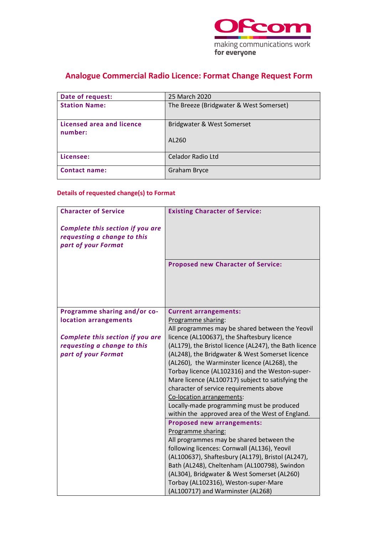

# **Analogue Commercial Radio Licence: Format Change Request Form**

| Date of request:                     | 25 March 2020                           |
|--------------------------------------|-----------------------------------------|
| <b>Station Name:</b>                 | The Breeze (Bridgwater & West Somerset) |
| Licensed area and licence<br>number: | Bridgwater & West Somerset              |
|                                      | AL260                                   |
| Licensee:                            | <b>Celador Radio Ltd</b>                |
| <b>Contact name:</b>                 | <b>Graham Bryce</b>                     |

### **Details of requested change(s) to Format**

| <b>Character of Service</b>                                                            | <b>Existing Character of Service:</b>                                                                |
|----------------------------------------------------------------------------------------|------------------------------------------------------------------------------------------------------|
| Complete this section if you are<br>requesting a change to this<br>part of your Format |                                                                                                      |
|                                                                                        | <b>Proposed new Character of Service:</b>                                                            |
| Programme sharing and/or co-                                                           | <b>Current arrangements:</b>                                                                         |
| location arrangements                                                                  | Programme sharing:                                                                                   |
|                                                                                        | All programmes may be shared between the Yeovil                                                      |
| Complete this section if you are                                                       | licence (AL100637), the Shaftesbury licence                                                          |
| requesting a change to this                                                            | (AL179), the Bristol licence (AL247), the Bath licence                                               |
| part of your Format                                                                    | (AL248), the Bridgwater & West Somerset licence                                                      |
|                                                                                        | (AL260), the Warminster licence (AL268), the                                                         |
|                                                                                        | Torbay licence (AL102316) and the Weston-super-<br>Mare licence (AL100717) subject to satisfying the |
|                                                                                        | character of service requirements above                                                              |
|                                                                                        | Co-location arrangements:                                                                            |
|                                                                                        | Locally-made programming must be produced                                                            |
|                                                                                        | within the approved area of the West of England.                                                     |
|                                                                                        | Proposed new arrangements:                                                                           |
|                                                                                        | Programme sharing:                                                                                   |
|                                                                                        | All programmes may be shared between the                                                             |
|                                                                                        | following licences: Cornwall (AL136), Yeovil                                                         |
|                                                                                        | (AL100637), Shaftesbury (AL179), Bristol (AL247),                                                    |
|                                                                                        | Bath (AL248), Cheltenham (AL100798), Swindon                                                         |
|                                                                                        | (AL304), Bridgwater & West Somerset (AL260)                                                          |
|                                                                                        | Torbay (AL102316), Weston-super-Mare                                                                 |
|                                                                                        | (AL100717) and Warminster (AL268)                                                                    |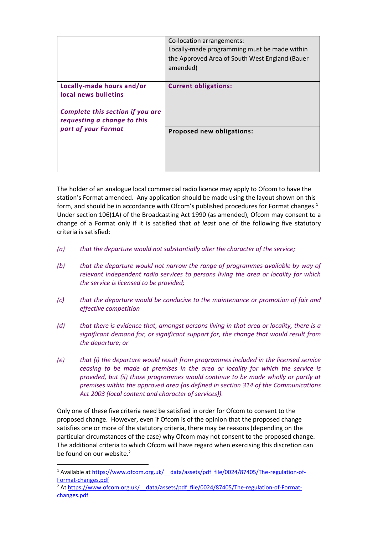|                                                                                                                      | Co-location arrangements:<br>Locally-made programming must be made within<br>the Approved Area of South West England (Bauer<br>amended) |
|----------------------------------------------------------------------------------------------------------------------|-----------------------------------------------------------------------------------------------------------------------------------------|
| Locally-made hours and/or<br>local news bulletins<br>Complete this section if you are<br>requesting a change to this | <b>Current obligations:</b>                                                                                                             |
| part of your Format                                                                                                  | Proposed new obligations:                                                                                                               |

The holder of an analogue local commercial radio licence may apply to Ofcom to have the station's Format amended. Any application should be made using the layout shown on this form, and should be in accordance with Ofcom's published procedures for Format changes. 1 Under section 106(1A) of the Broadcasting Act 1990 (as amended), Ofcom may consent to a change of a Format only if it is satisfied that *at least* one of the following five statutory criteria is satisfied:

- *(a) that the departure would not substantially alter the character of the service;*
- *(b) that the departure would not narrow the range of programmes available by way of relevant independent radio services to persons living the area or locality for which the service is licensed to be provided;*
- *(c) that the departure would be conducive to the maintenance or promotion of fair and effective competition*
- *(d) that there is evidence that, amongst persons living in that area or locality, there is a significant demand for, or significant support for, the change that would result from the departure; or*
- *(e) that (i) the departure would result from programmes included in the licensed service ceasing to be made at premises in the area or locality for which the service is provided, but (ii) those programmes would continue to be made wholly or partly at premises within the approved area (as defined in section 314 of the Communications Act 2003 (local content and character of services)).*

Only one of these five criteria need be satisfied in order for Ofcom to consent to the proposed change. However, even if Ofcom is of the opinion that the proposed change satisfies one or more of the statutory criteria, there may be reasons (depending on the particular circumstances of the case) why Ofcom may not consent to the proposed change. The additional criteria to which Ofcom will have regard when exercising this discretion can be found on our website. $2$ 

<sup>&</sup>lt;sup>1</sup> Available at https://www.ofcom.org.uk/ data/assets/pdf file/0024/87405/The-regulation-of-[Format-changes.pdf](https://www.ofcom.org.uk/__data/assets/pdf_file/0024/87405/The-regulation-of-Format-changes.pdf)

<sup>&</sup>lt;sup>2</sup> At https://www.ofcom.org.uk/ data/assets/pdf\_file/0024/87405/The-regulation-of-Format[changes.pdf](https://www.ofcom.org.uk/__data/assets/pdf_file/0024/87405/The-regulation-of-Format-changes.pdf)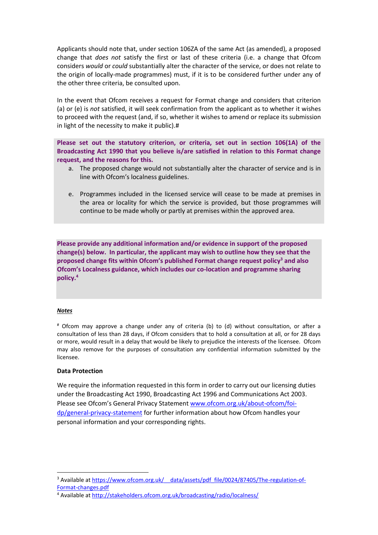Applicants should note that, under section 106ZA of the same Act (as amended), a proposed change that *does not* satisfy the first or last of these criteria (i.e. a change that Ofcom considers *would* or *could* substantially alter the character of the service, or does not relate to the origin of locally-made programmes) must, if it is to be considered further under any of the other three criteria, be consulted upon.

In the event that Ofcom receives a request for Format change and considers that criterion (a) or (e) is *not* satisfied, it will seek confirmation from the applicant as to whether it wishes to proceed with the request (and, if so, whether it wishes to amend or replace its submission in light of the necessity to make it public).#

**Please set out the statutory criterion, or criteria, set out in section 106(1A) of the Broadcasting Act 1990 that you believe is/are satisfied in relation to this Format change request, and the reasons for this.**

- a. The proposed change would not substantially alter the character of service and is in line with Ofcom's localness guidelines.
- e. Programmes included in the licensed service will cease to be made at premises in the area or locality for which the service is provided, but those programmes will continue to be made wholly or partly at premises within the approved area.

**Please provide any additional information and/or evidence in support of the proposed change(s) below. In particular, the applicant may wish to outline how they see that the proposed change fits within Ofcom's published Format change request policy<sup>3</sup> and also Ofcom's Localness guidance, which includes our co-location and programme sharing policy. 4**

### *Notes*

# Ofcom may approve a change under any of criteria (b) to (d) without consultation, or after a consultation of less than 28 days, if Ofcom considers that to hold a consultation at all, or for 28 days or more, would result in a delay that would be likely to prejudice the interests of the licensee. Ofcom may also remove for the purposes of consultation any confidential information submitted by the licensee.

#### **Data Protection**

We require the information requested in this form in order to carry out our licensing duties under the Broadcasting Act 1990, Broadcasting Act 1996 and Communications Act 2003. Please see Ofcom's General Privacy Statement [www.ofcom.org.uk/about-ofcom/foi](http://www.ofcom.org.uk/about-ofcom/foi-dp/general-privacy-statement)[dp/general-privacy-statement](http://www.ofcom.org.uk/about-ofcom/foi-dp/general-privacy-statement) for further information about how Ofcom handles your personal information and your corresponding rights.

<sup>&</sup>lt;sup>3</sup> Available at https://www.ofcom.org.uk/ data/assets/pdf\_file/0024/87405/The-regulation-of-[Format-changes.pdf](https://www.ofcom.org.uk/__data/assets/pdf_file/0024/87405/The-regulation-of-Format-changes.pdf)

<sup>4</sup> Available at<http://stakeholders.ofcom.org.uk/broadcasting/radio/localness/>